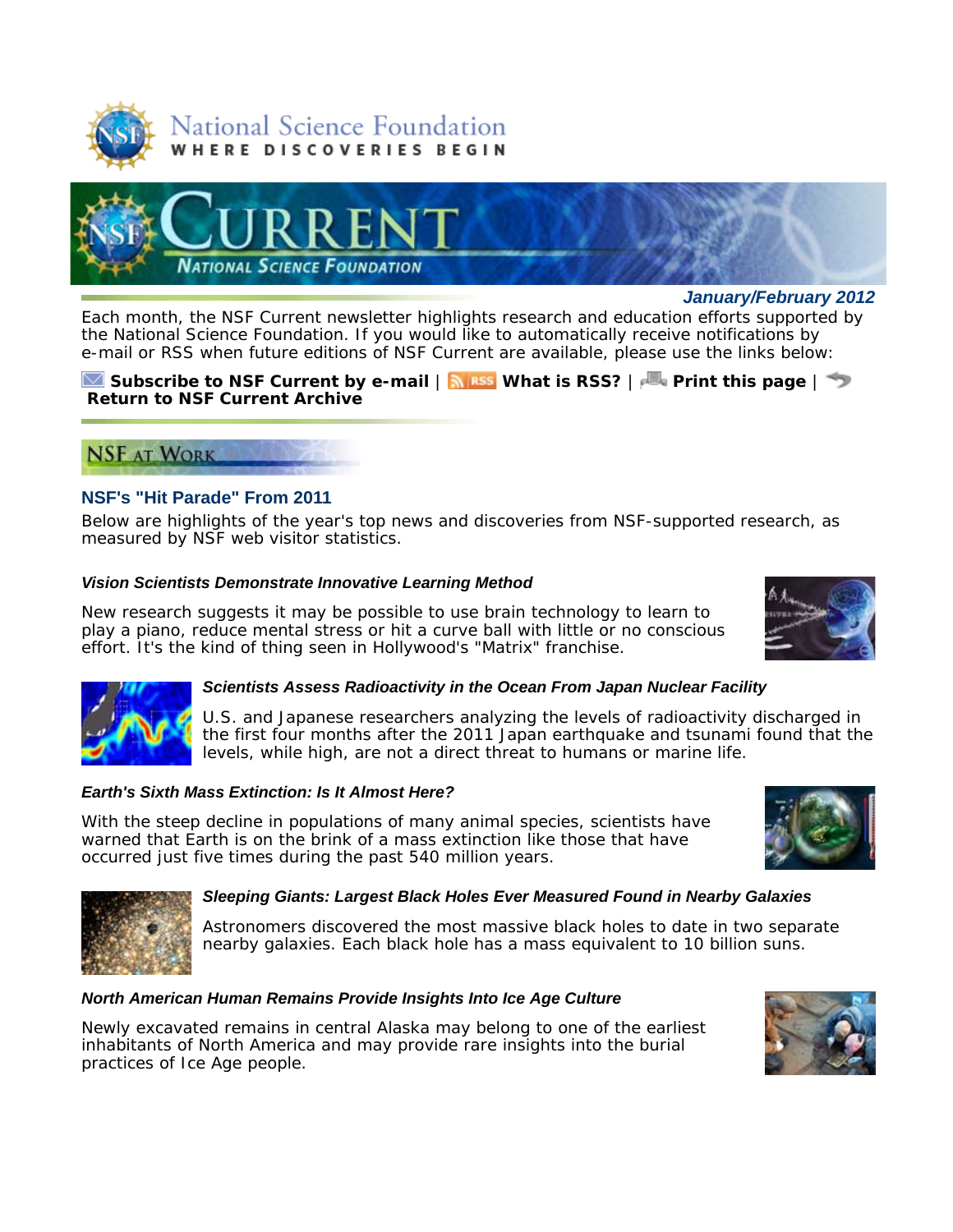



*January/February 2012*

Each month, the *NSF Current* newsletter highlights research and education efforts supported by the National Science Foundation. If you would like to automatically receive notifications by e-mail or RSS when future editions of *NSF Current* are available, please use the links below:

### **Subscribe to** *NSF Current* **by e-mail** | **What is RSS?** | **Print this page** | **Return to** *NSF Current* **Archive**

# **NSF AT WORK**

# **NSF's "Hit Parade" From 2011**

Below are highlights of the year's top news and discoveries from NSF-supported research, as measured by NSF web visitor statistics.

# *Vision Scientists Demonstrate Innovative Learning Method*

New research suggests it may be possible to use brain technology to learn to play a piano, reduce mental stress or hit a curve ball with little or no conscious effort. It's the kind of thing seen in Hollywood's "Matrix" franchise.





#### *Scientists Assess Radioactivity in the Ocean From Japan Nuclear Facility*

U.S. and Japanese researchers analyzing the levels of radioactivity discharged in the first four months after the 2011 Japan earthquake and tsunami found that the levels, while high, are not a direct threat to humans or marine life.

# *Earth's Sixth Mass Extinction: Is It Almost Here?*

With the steep decline in populations of many animal species, scientists have warned that Earth is on the brink of a mass extinction like those that have occurred just five times during the past 540 million years.





#### *Sleeping Giants: Largest Black Holes Ever Measured Found in Nearby Galaxies*

Astronomers discovered the most massive black holes to date in two separate nearby galaxies. Each black hole has a mass equivalent to 10 billion suns.

#### *North American Human Remains Provide Insights Into Ice Age Culture*

Newly excavated remains in central Alaska may belong to one of the earliest inhabitants of North America and may provide rare insights into the burial practices of Ice Age people.

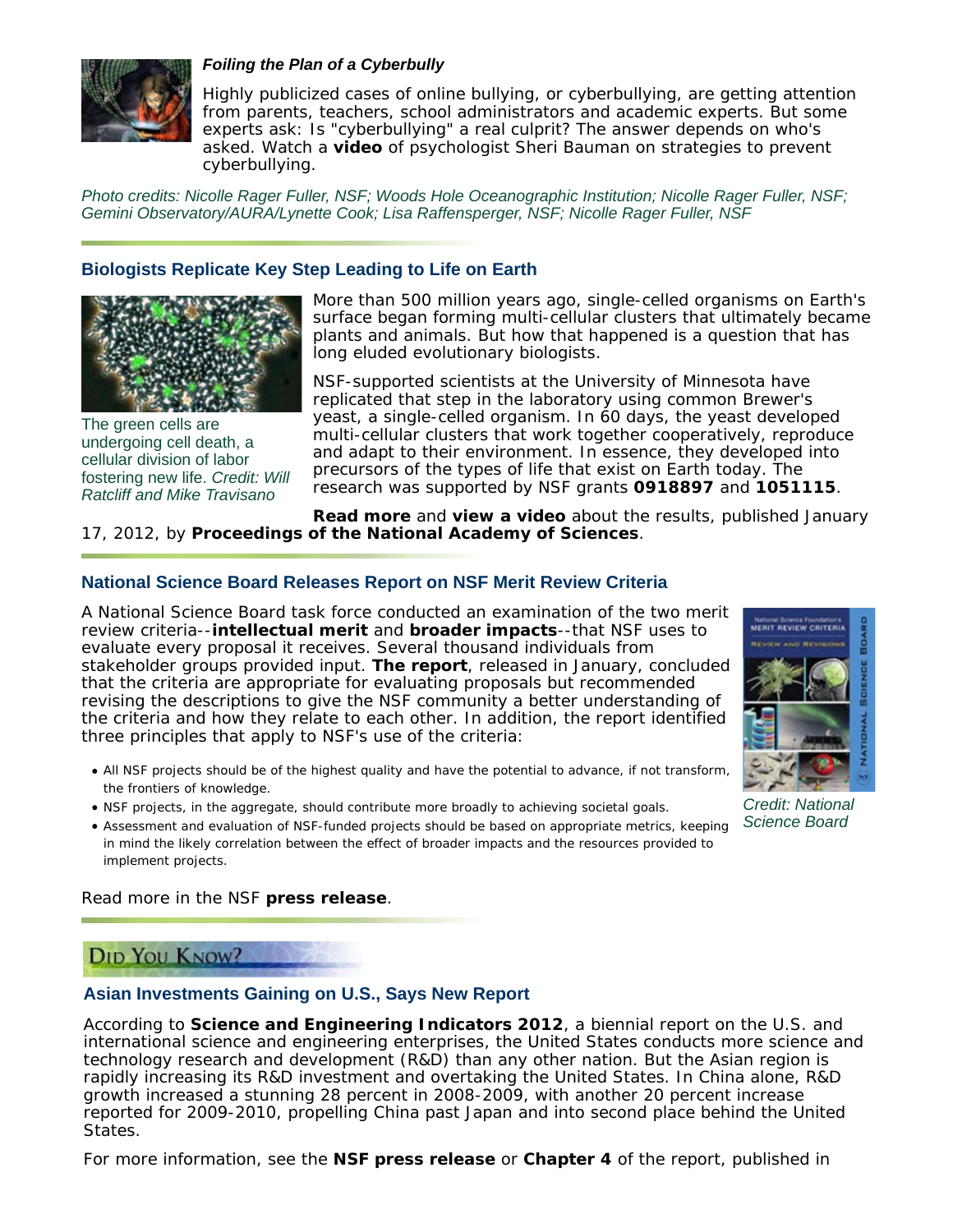

#### *Foiling the Plan of a Cyberbully*

Highly publicized cases of online bullying, or cyberbullying, are getting attention from parents, teachers, school administrators and academic experts. But some experts ask: Is "cyberbullying" a real culprit? The answer depends on who's asked. Watch a **video** of psychologist Sheri Bauman on strategies to prevent cyberbullying.

*Photo credits: Nicolle Rager Fuller, NSF; Woods Hole Oceanographic Institution; Nicolle Rager Fuller, NSF; Gemini Observatory/AURA/Lynette Cook; Lisa Raffensperger, NSF; Nicolle Rager Fuller, NSF*

### **Biologists Replicate Key Step Leading to Life on Earth**



The green cells are undergoing cell death, a cellular division of labor fostering new life. *Credit: Will Ratcliff and Mike Travisano*

More than 500 million years ago, single-celled organisms on Earth's surface began forming multi-cellular clusters that ultimately became plants and animals. But how that happened is a question that has long eluded evolutionary biologists.

NSF-supported scientists at the University of Minnesota have replicated that step in the laboratory using common Brewer's yeast, a single-celled organism. In 60 days, the yeast developed multi-cellular clusters that work together cooperatively, reproduce and adapt to their environment. In essence, they developed into precursors of the types of life that exist on Earth today. The research was supported by NSF grants **0918897** and **1051115**.

**Read more** and **view a video** about the results, published January 17, 2012, by *Proceedings of the National Academy of Sciences*.

### **National Science Board Releases Report on NSF Merit Review Criteria**

A National Science Board task force conducted an examination of the two merit review criteria--**intellectual merit** and **broader impacts**--that NSF uses to evaluate every proposal it receives. Several thousand individuals from stakeholder groups provided input. **The report**, released in January, concluded that the criteria are appropriate for evaluating proposals but recommended revising the descriptions to give the NSF community a better understanding of the criteria and how they relate to each other. In addition, the report identified three principles that apply to NSF's use of the criteria:



*Credit: National Science Board*

All NSF projects should be of the highest quality and have the potential to advance, if not transform, the frontiers of knowledge.

- NSF projects, in the aggregate, should contribute more broadly to achieving societal goals.
- Assessment and evaluation of NSF-funded projects should be based on appropriate metrics, keeping in mind the likely correlation between the effect of broader impacts and the resources provided to implement projects.

Read more in the NSF **press release**.

# **DID YOU KNOW?**

#### **Asian Investments Gaining on U.S., Says New Report**

According to *Science and Engineering Indicators 2012*, a biennial report on the U.S. and international science and engineering enterprises, the United States conducts more science and technology research and development (R&D) than any other nation. But the Asian region is rapidly increasing its R&D investment and overtaking the United States. In China alone, R&D growth increased a stunning 28 percent in 2008-2009, with another 20 percent increase reported for 2009-2010, propelling China past Japan and into second place behind the United States.

For more information, see the **NSF press release** or **Chapter 4** of the report, published in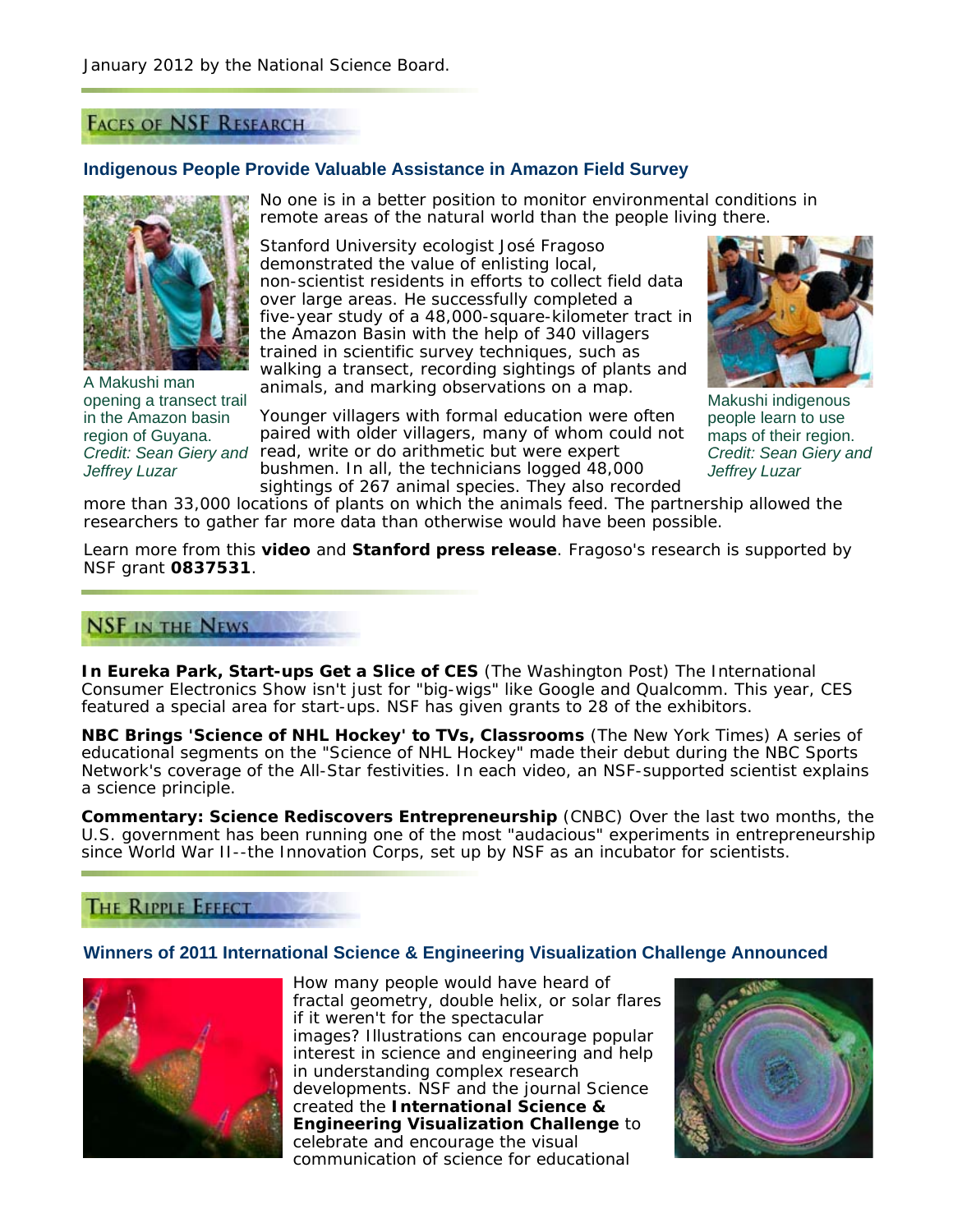# **FACES OF NSF RESEARCH**

#### **Indigenous People Provide Valuable Assistance in Amazon Field Survey**



A Makushi man opening a transect trail in the Amazon basin region of Guyana. *Jeffrey Luzar*

No one is in a better position to monitor environmental conditions in remote areas of the natural world than the people living there.

Stanford University ecologist José Fragoso demonstrated the value of enlisting local, non-scientist residents in efforts to collect field data over large areas. He successfully completed a five-year study of a 48,000-square-kilometer tract in the Amazon Basin with the help of 340 villagers trained in scientific survey techniques, such as walking a transect, recording sightings of plants and animals, and marking observations on a map.

Credit: Sean Giery and read, write or do arithmetic but were expert Younger villagers with formal education were often paired with older villagers, many of whom could not bushmen. In all, the technicians logged 48,000 sightings of 267 animal species. They also recorded



Makushi indigenous people learn to use maps of their region. *Credit: Sean Giery and Jeffrey Luzar*

more than 33,000 locations of plants on which the animals feed. The partnership allowed the researchers to gather far more data than otherwise would have been possible.

Learn more from this **video** and **Stanford press release**. Fragoso's research is supported by NSF grant **0837531**.

# **NSF IN THE NEWS**

**In Eureka Park, Start-ups Get a Slice of CES** (*The Washington Post*) The International Consumer Electronics Show isn't just for "big-wigs" like Google and Qualcomm. This year, CES featured a special area for start-ups. NSF has given grants to 28 of the exhibitors.

**NBC Brings 'Science of NHL Hockey' to TVs, Classrooms** (*The New York Times*) A series of educational segments on the "Science of NHL Hockey" made their debut during the NBC Sports Network's coverage of the All-Star festivities. In each video, an NSF-supported scientist explains a science principle.

**Commentary: Science Rediscovers Entrepreneurship** (*CNBC*) Over the last two months, the U.S. government has been running one of the most "audacious" experiments in entrepreneurship since World War II--the Innovation Corps, set up by NSF as an incubator for scientists.

### **THE RIPPLE EFFECT**

### **Winners of 2011 International Science & Engineering Visualization Challenge Announced**



How many people would have heard of fractal geometry, double helix, or solar flares if it weren't for the spectacular images? Illustrations can encourage popular interest in science and engineering and help in understanding complex research developments. NSF and the journal *Science* created the **International Science & Engineering Visualization Challenge** to celebrate and encourage the visual communication of science for educational